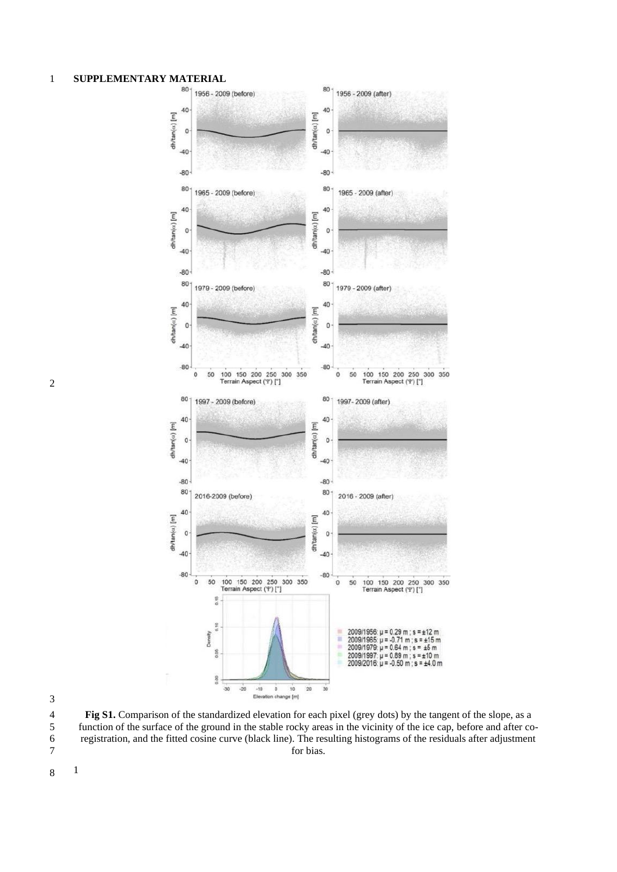## **SUPPLEMENTARY MATERIAL**



 **Fig S1.** Comparison of the standardized elevation for each pixel (grey dots) by the tangent of the slope, as a function of the surface of the ground in the stable rocky areas in the vicinity of the ice cap, before and after co- registration, and the fitted cosine curve (black line). The resulting histograms of the residuals after adjustment for bias.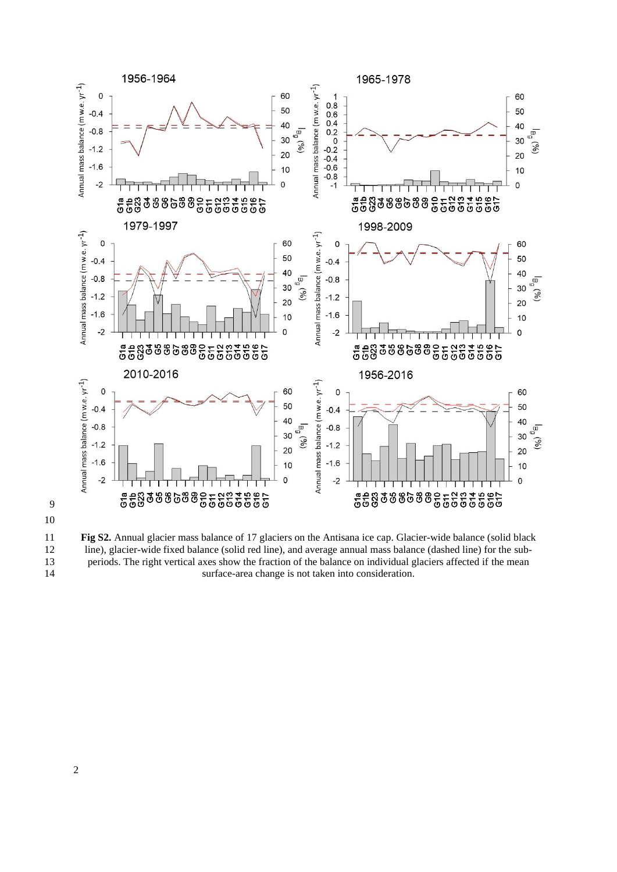



11 **Fig S2.** Annual glacier mass balance of 17 glaciers on the Antisana ice cap. Glacier-wide balance (solid black<br>12 line), glacier-wide fixed balance (solid red line), and average annual mass balance (dashed line) for th 12 line), glacier-wide fixed balance (solid red line), and average annual mass balance (dashed line) for the sub-<br>13 line) for the right vertical axes show the fraction of the balance on individual glaciers affected if the 13 periods. The right vertical axes show the fraction of the balance on individual glaciers affected if the mean surface-area change is not taken into consideration. surface-area change is not taken into consideration.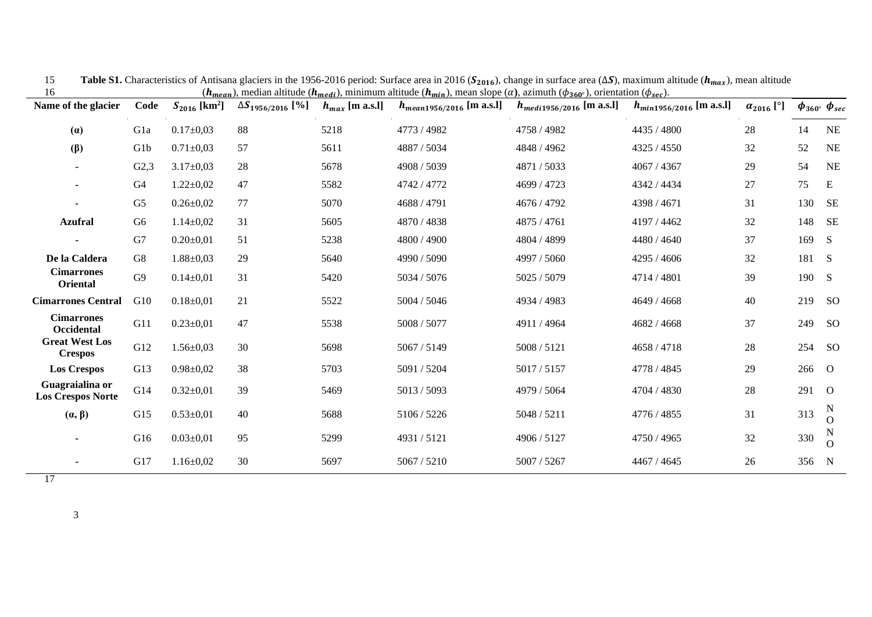| ⊥ ∪<br>Name of the glacier                  | Code           | $S_{2016}$ [km <sup>2</sup> ] | $\Delta S_{1956/2016}$ [%] | $h_{max}$ [m a.s.l] | $\mathcal{L}(\mathbf{w}_{\text{mean}}), \text{linear}$ and $\mathcal{L}(\mathbf{w}_{\text{mean}}), \text{min}$ and $\mathcal{L}(\mathbf{w}_{\text{mean}}), \text{linear}$ ( $\mathcal{L}(\mathbf{w}_{\text{mean}}), \text{linear}$ ), $\mathcal{L}(\mathbf{w}_{\text{mean}}), \text{linear}$<br>$h_{mean 1956/2016}$ [m a.s.l] | $h_{\text{medi1956/2016}}$ [m a.s.l] | $h_{min1956/2016}$ [m a.s.l] | $\alpha_{2016}$ [°] |       | $\phi_{360}$ $\phi_{sec}$ |
|---------------------------------------------|----------------|-------------------------------|----------------------------|---------------------|--------------------------------------------------------------------------------------------------------------------------------------------------------------------------------------------------------------------------------------------------------------------------------------------------------------------------------|--------------------------------------|------------------------------|---------------------|-------|---------------------------|
| (a)                                         | Gla            | $0.17 \pm 0.03$               | 88                         | 5218                | 4773 / 4982                                                                                                                                                                                                                                                                                                                    | 4758 / 4982                          | 4435 / 4800                  | 28                  | 14    | <b>NE</b>                 |
| $(\beta)$                                   | G1b            | $0.71 \pm 0.03$               | 57                         | 5611                | 4887 / 5034                                                                                                                                                                                                                                                                                                                    | 4848 / 4962                          | 4325 / 4550                  | 32                  | 52    | <b>NE</b>                 |
| $\blacksquare$                              | G2,3           | $3.17 \pm 0.03$               | 28                         | 5678                | 4908 / 5039                                                                                                                                                                                                                                                                                                                    | 4871 / 5033                          | 4067 / 4367                  | 29                  | 54    | <b>NE</b>                 |
|                                             | G4             | $1.22 \pm 0.02$               | 47                         | 5582                | 4742 / 4772                                                                                                                                                                                                                                                                                                                    | 4699 / 4723                          | 4342 / 4434                  | $27\,$              | 75    | E                         |
| $\blacksquare$                              | G <sub>5</sub> | $0.26 \pm 0.02$               | 77                         | 5070                | 4688 / 4791                                                                                                                                                                                                                                                                                                                    | 4676 / 4792                          | 4398 / 4671                  | 31                  | 130   | <b>SE</b>                 |
| <b>Azufral</b>                              | G <sub>6</sub> | $1.14 \pm 0.02$               | 31                         | 5605                | 4870 / 4838                                                                                                                                                                                                                                                                                                                    | 4875 / 4761                          | 4197 / 4462                  | 32                  | 148   | <b>SE</b>                 |
|                                             | G7             | $0.20 \pm 0.01$               | 51                         | 5238                | 4800 / 4900                                                                                                                                                                                                                                                                                                                    | 4804 / 4899                          | 4480 / 4640                  | 37                  | 169   | S                         |
| De la Caldera                               | G8             | $1.88 \pm 0.03$               | 29                         | 5640                | 4990 / 5090                                                                                                                                                                                                                                                                                                                    | 4997 / 5060                          | 4295 / 4606                  | 32                  | 181   | <sub>S</sub>              |
| <b>Cimarrones</b><br>Oriental               | G <sub>9</sub> | $0.14 \pm 0.01$               | 31                         | 5420                | 5034 / 5076                                                                                                                                                                                                                                                                                                                    | 5025 / 5079                          | 4714 / 4801                  | 39                  | 190   | <sub>S</sub>              |
| <b>Cimarrones Central</b>                   | G10            | $0.18 \pm 0.01$               | 21                         | 5522                | 5004 / 5046                                                                                                                                                                                                                                                                                                                    | 4934 / 4983                          | 4649 / 4668                  | 40                  | 219   | <sub>SO</sub>             |
| <b>Cimarrones</b><br>Occidental             | G11            | $0.23 \pm 0.01$               | 47                         | 5538                | 5008 / 5077                                                                                                                                                                                                                                                                                                                    | 4911/4964                            | 4682 / 4668                  | 37                  | 249   | <sub>SO</sub>             |
| <b>Great West Los</b><br><b>Crespos</b>     | G12            | $1.56 \pm 0.03$               | 30                         | 5698                | 5067 / 5149                                                                                                                                                                                                                                                                                                                    | 5008 / 5121                          | 4658 / 4718                  | 28                  | 254   | <sub>SO</sub>             |
| <b>Los Crespos</b>                          | G13            | $0.98 \pm 0.02$               | 38                         | 5703                | 5091 / 5204                                                                                                                                                                                                                                                                                                                    | 5017 / 5157                          | 4778 / 4845                  | 29                  | 266 O |                           |
| Guagraialina or<br><b>Los Crespos Norte</b> | G14            | $0.32 \pm 0.01$               | 39                         | 5469                | 5013 / 5093                                                                                                                                                                                                                                                                                                                    | 4979 / 5064                          | 4704 / 4830                  | 28                  | 291   | $\overline{O}$            |
| $(\alpha, \beta)$                           | G15            | $0.53 \pm 0.01$               | 40                         | 5688                | 5106 / 5226                                                                                                                                                                                                                                                                                                                    | 5048 / 5211                          | 4776 / 4855                  | 31                  | 313   | N<br>$\Omega$             |
|                                             | G16            | $0.03 \pm 0.01$               | 95                         | 5299                | 4931/5121                                                                                                                                                                                                                                                                                                                      | 4906 / 5127                          | 4750 / 4965                  | 32                  | 330   | $\Omega$                  |
|                                             | G17            | $1.16 \pm 0.02$               | 30                         | 5697                | 5067 / 5210                                                                                                                                                                                                                                                                                                                    | 5007 / 5267                          | 4467 / 4645                  | 26                  | 356   | $\mathbf N$               |

Table S1. Characteristics of Antisana glaciers in the 1956-2016 period: Surface area in 2016 (S<sub>2016</sub>), change in surface area (∆S), maximum altitude ( $h_{max}$ ), mean altitude 16 ( $h_{mean}$ ), median altitude ( $h_{medi}$ ), minimum altitude ( $h_{min}$ ), mean slope ( $\alpha$ ), azimuth ( $\phi_{360^{\circ}}$ ), orientation ( $\phi_{sec}$ ).

17

3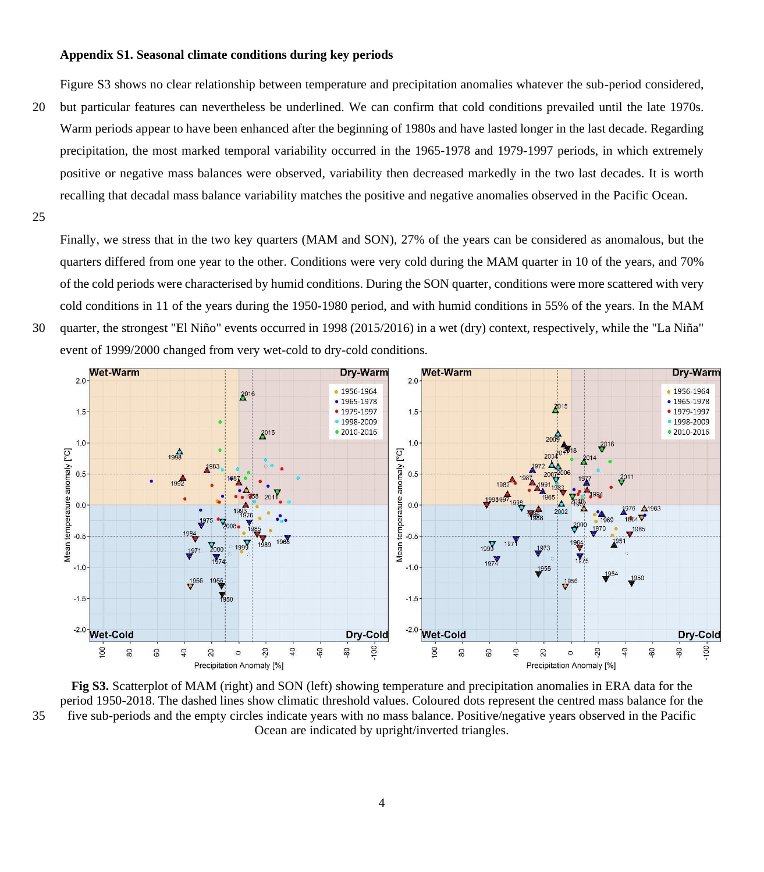## **Appendix S1. Seasonal climate conditions during key periods**

Figure S3 shows no clear relationship between temperature and precipitation anomalies whatever the sub-period considered,

- 20 but particular features can nevertheless be underlined. We can confirm that cold conditions prevailed until the late 1970s. Warm periods appear to have been enhanced after the beginning of 1980s and have lasted longer in the last decade. Regarding precipitation, the most marked temporal variability occurred in the 1965-1978 and 1979-1997 periods, in which extremely positive or negative mass balances were observed, variability then decreased markedly in the two last decades. It is worth recalling that decadal mass balance variability matches the positive and negative anomalies observed in the Pacific Ocean.
- 25

Finally, we stress that in the two key quarters (MAM and SON), 27% of the years can be considered as anomalous, but the quarters differed from one year to the other. Conditions were very cold during the MAM quarter in 10 of the years, and 70% of the cold periods were characterised by humid conditions. During the SON quarter, conditions were more scattered with very cold conditions in 11 of the years during the 1950-1980 period, and with humid conditions in 55% of the years. In the MAM 30 quarter, the strongest "El Niño" events occurred in 1998 (2015/2016) in a wet (dry) context, respectively, while the "La Niña" event of 1999/2000 changed from very wet-cold to dry-cold conditions.



**Fig S3.** Scatterplot of MAM (right) and SON (left) showing temperature and precipitation anomalies in ERA data for the period 1950-2018. The dashed lines show climatic threshold values. Coloured dots represent the centred mass balance for the 35 five sub-periods and the empty circles indicate years with no mass balance. Positive/negative years observed in the Pacific Ocean are indicated by upright/inverted triangles.